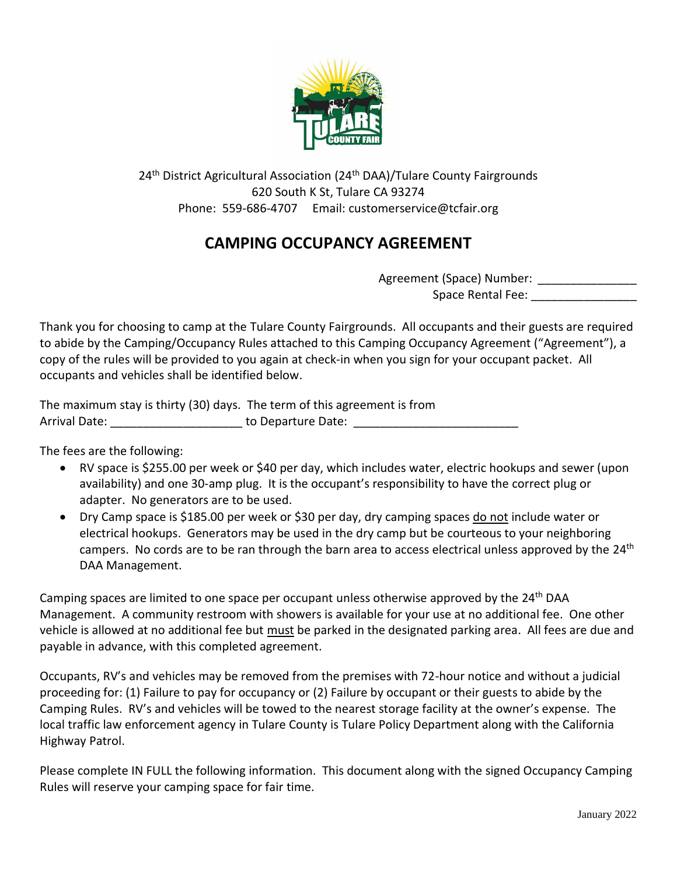

24<sup>th</sup> District Agricultural Association (24<sup>th</sup> DAA)/Tulare County Fairgrounds 620 South K St, Tulare CA 93274 Phone: 559-686-4707 Email: customerservice@tcfair.org

## **CAMPING OCCUPANCY AGREEMENT**

| Agreement (Space) Number: |  |
|---------------------------|--|
| Space Rental Fee:         |  |

Thank you for choosing to camp at the Tulare County Fairgrounds. All occupants and their guests are required to abide by the Camping/Occupancy Rules attached to this Camping Occupancy Agreement ("Agreement"), a copy of the rules will be provided to you again at check-in when you sign for your occupant packet. All occupants and vehicles shall be identified below.

| The maximum stay is thirty (30) days. The term of this agreement is from |                    |
|--------------------------------------------------------------------------|--------------------|
| Arrival Date:                                                            | to Departure Date: |

The fees are the following:

- RV space is \$255.00 per week or \$40 per day, which includes water, electric hookups and sewer (upon availability) and one 30-amp plug. It is the occupant's responsibility to have the correct plug or adapter. No generators are to be used.
- Dry Camp space is \$185.00 per week or \$30 per day, dry camping spaces do not include water or electrical hookups. Generators may be used in the dry camp but be courteous to your neighboring campers. No cords are to be ran through the barn area to access electrical unless approved by the 24<sup>th</sup> DAA Management.

Camping spaces are limited to one space per occupant unless otherwise approved by the  $24<sup>th</sup>$  DAA Management. A community restroom with showers is available for your use at no additional fee. One other vehicle is allowed at no additional fee but must be parked in the designated parking area. All fees are due and payable in advance, with this completed agreement.

Occupants, RV's and vehicles may be removed from the premises with 72-hour notice and without a judicial proceeding for: (1) Failure to pay for occupancy or (2) Failure by occupant or their guests to abide by the Camping Rules. RV's and vehicles will be towed to the nearest storage facility at the owner's expense. The local traffic law enforcement agency in Tulare County is Tulare Policy Department along with the California Highway Patrol.

Please complete IN FULL the following information. This document along with the signed Occupancy Camping Rules will reserve your camping space for fair time.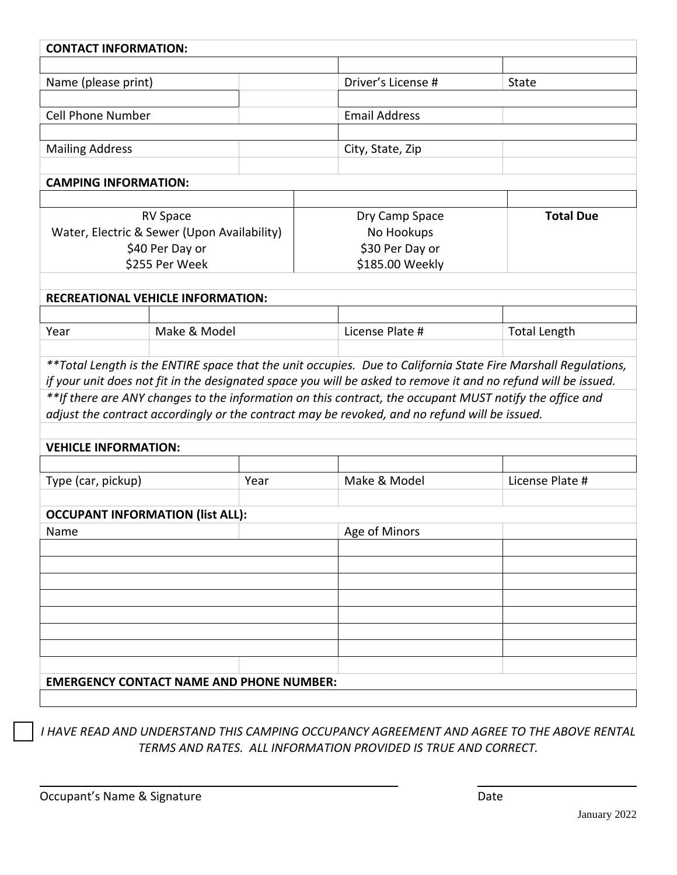| <b>CONTACT INFORMATION:</b>                     |                 |      |                      |                                                                                                         |                                                                                                                |  |  |  |
|-------------------------------------------------|-----------------|------|----------------------|---------------------------------------------------------------------------------------------------------|----------------------------------------------------------------------------------------------------------------|--|--|--|
| Name (please print)                             |                 |      |                      | Driver's License #                                                                                      | State                                                                                                          |  |  |  |
|                                                 |                 |      |                      |                                                                                                         |                                                                                                                |  |  |  |
| <b>Cell Phone Number</b>                        |                 |      | <b>Email Address</b> |                                                                                                         |                                                                                                                |  |  |  |
|                                                 |                 |      |                      |                                                                                                         |                                                                                                                |  |  |  |
| <b>Mailing Address</b>                          |                 |      |                      | City, State, Zip                                                                                        |                                                                                                                |  |  |  |
|                                                 |                 |      |                      |                                                                                                         |                                                                                                                |  |  |  |
| <b>CAMPING INFORMATION:</b>                     |                 |      |                      |                                                                                                         |                                                                                                                |  |  |  |
| <b>RV Space</b>                                 |                 |      | Dry Camp Space       |                                                                                                         | <b>Total Due</b>                                                                                               |  |  |  |
| Water, Electric & Sewer (Upon Availability)     |                 |      |                      | No Hookups                                                                                              |                                                                                                                |  |  |  |
|                                                 | \$40 Per Day or |      |                      | \$30 Per Day or                                                                                         |                                                                                                                |  |  |  |
|                                                 | \$255 Per Week  |      |                      | \$185.00 Weekly                                                                                         |                                                                                                                |  |  |  |
|                                                 |                 |      |                      |                                                                                                         |                                                                                                                |  |  |  |
| <b>RECREATIONAL VEHICLE INFORMATION:</b>        |                 |      |                      |                                                                                                         |                                                                                                                |  |  |  |
|                                                 |                 |      |                      |                                                                                                         |                                                                                                                |  |  |  |
| Year                                            | Make & Model    |      |                      | License Plate #                                                                                         | <b>Total Length</b>                                                                                            |  |  |  |
|                                                 |                 |      |                      |                                                                                                         | ** Total Length is the ENTIRE space that the unit occupies. Due to California State Fire Marshall Regulations, |  |  |  |
|                                                 |                 |      |                      |                                                                                                         | if your unit does not fit in the designated space you will be asked to remove it and no refund will be issued. |  |  |  |
|                                                 |                 |      |                      | **If there are ANY changes to the information on this contract, the occupant MUST notify the office and |                                                                                                                |  |  |  |
|                                                 |                 |      |                      | adjust the contract accordingly or the contract may be revoked, and no refund will be issued.           |                                                                                                                |  |  |  |
|                                                 |                 |      |                      |                                                                                                         |                                                                                                                |  |  |  |
| <b>VEHICLE INFORMATION:</b>                     |                 |      |                      |                                                                                                         |                                                                                                                |  |  |  |
| Type (car, pickup)                              |                 | Year |                      | Make & Model                                                                                            | License Plate #                                                                                                |  |  |  |
|                                                 |                 |      |                      |                                                                                                         |                                                                                                                |  |  |  |
| <b>OCCUPANT INFORMATION (list ALL):</b>         |                 |      |                      | Age of Minors                                                                                           |                                                                                                                |  |  |  |
| Name                                            |                 |      |                      |                                                                                                         |                                                                                                                |  |  |  |
|                                                 |                 |      |                      |                                                                                                         |                                                                                                                |  |  |  |
|                                                 |                 |      |                      |                                                                                                         |                                                                                                                |  |  |  |
|                                                 |                 |      |                      |                                                                                                         |                                                                                                                |  |  |  |
|                                                 |                 |      |                      |                                                                                                         |                                                                                                                |  |  |  |
|                                                 |                 |      |                      |                                                                                                         |                                                                                                                |  |  |  |
|                                                 |                 |      |                      |                                                                                                         |                                                                                                                |  |  |  |
|                                                 |                 |      |                      |                                                                                                         |                                                                                                                |  |  |  |
| <b>EMERGENCY CONTACT NAME AND PHONE NUMBER:</b> |                 |      |                      |                                                                                                         |                                                                                                                |  |  |  |
|                                                 |                 |      |                      |                                                                                                         |                                                                                                                |  |  |  |

*I HAVE READ AND UNDERSTAND THIS CAMPING OCCUPANCY AGREEMENT AND AGREE TO THE ABOVE RENTAL TERMS AND RATES. ALL INFORMATION PROVIDED IS TRUE AND CORRECT.*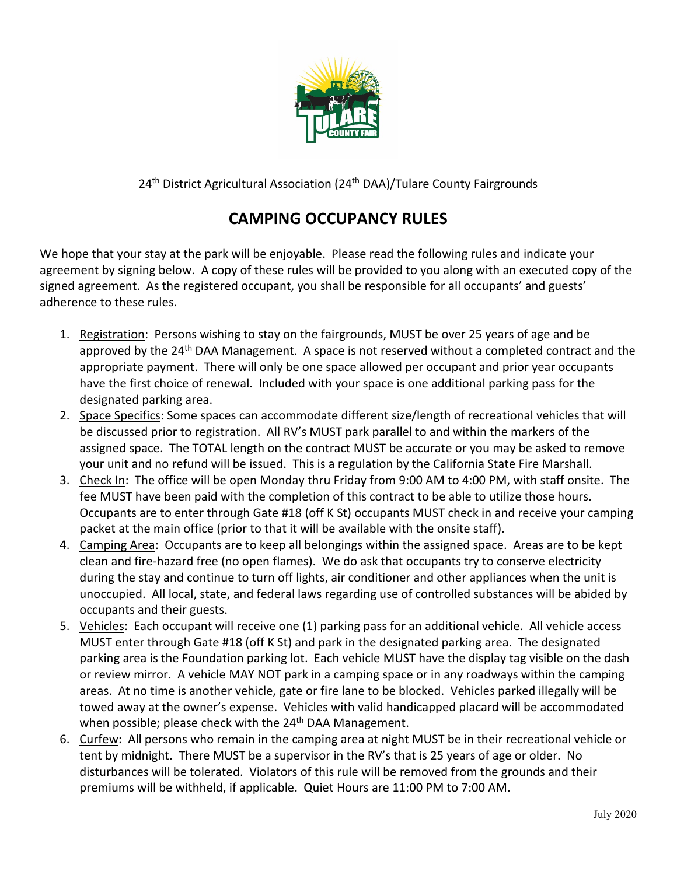

24<sup>th</sup> District Agricultural Association (24<sup>th</sup> DAA)/Tulare County Fairgrounds

## **CAMPING OCCUPANCY RULES**

We hope that your stay at the park will be enjoyable. Please read the following rules and indicate your agreement by signing below. A copy of these rules will be provided to you along with an executed copy of the signed agreement. As the registered occupant, you shall be responsible for all occupants' and guests' adherence to these rules.

- 1. Registration: Persons wishing to stay on the fairgrounds, MUST be over 25 years of age and be approved by the 24<sup>th</sup> DAA Management. A space is not reserved without a completed contract and the appropriate payment. There will only be one space allowed per occupant and prior year occupants have the first choice of renewal. Included with your space is one additional parking pass for the designated parking area.
- 2. Space Specifics: Some spaces can accommodate different size/length of recreational vehicles that will be discussed prior to registration. All RV's MUST park parallel to and within the markers of the assigned space. The TOTAL length on the contract MUST be accurate or you may be asked to remove your unit and no refund will be issued. This is a regulation by the California State Fire Marshall.
- 3. Check In: The office will be open Monday thru Friday from 9:00 AM to 4:00 PM, with staff onsite. The fee MUST have been paid with the completion of this contract to be able to utilize those hours. Occupants are to enter through Gate #18 (off K St) occupants MUST check in and receive your camping packet at the main office (prior to that it will be available with the onsite staff).
- 4. Camping Area: Occupants are to keep all belongings within the assigned space. Areas are to be kept clean and fire-hazard free (no open flames). We do ask that occupants try to conserve electricity during the stay and continue to turn off lights, air conditioner and other appliances when the unit is unoccupied. All local, state, and federal laws regarding use of controlled substances will be abided by occupants and their guests.
- 5. Vehicles: Each occupant will receive one (1) parking pass for an additional vehicle. All vehicle access MUST enter through Gate #18 (off K St) and park in the designated parking area. The designated parking area is the Foundation parking lot. Each vehicle MUST have the display tag visible on the dash or review mirror. A vehicle MAY NOT park in a camping space or in any roadways within the camping areas. At no time is another vehicle, gate or fire lane to be blocked. Vehicles parked illegally will be towed away at the owner's expense. Vehicles with valid handicapped placard will be accommodated when possible; please check with the 24<sup>th</sup> DAA Management.
- 6. Curfew: All persons who remain in the camping area at night MUST be in their recreational vehicle or tent by midnight. There MUST be a supervisor in the RV's that is 25 years of age or older. No disturbances will be tolerated. Violators of this rule will be removed from the grounds and their premiums will be withheld, if applicable. Quiet Hours are 11:00 PM to 7:00 AM.